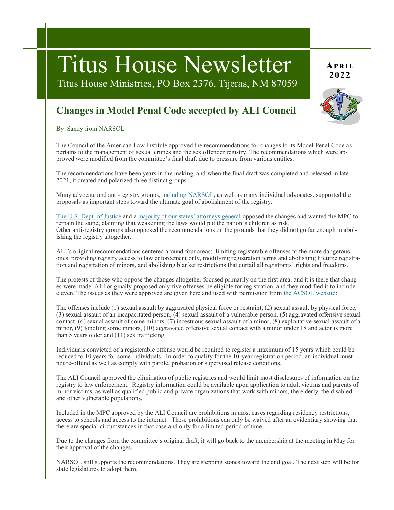# Titus House Newsletter **2022**

Titus House Ministries, PO Box 2376, Tijeras, NM 87059

## **Changes in Model Penal Code accepted by ALI Council**

By Sandy from NARSOL

The Council of the American Law Institute approved the recommendations for changes to its Model Penal Code as pertains to the management of sexual crimes and the sex offender registry. The recommendations which were approved were modified from the committee's final draft due to pressure from various entities.

The recommendations have been years in the making, and when the final draft was completed and released in late 2021, it created and polarized three distinct groups.

Many advocate and anti-registry groups, [including NARSOL,](https://narsol.org/wp-content/uploads/2022/03/NARSOL-sign-on-w-o.pdf) as well as many individual advocates, supported the proposals as important steps toward the ultimate goal of abolishment of the registry.

[The U.S. Dept. of Justice](https://narsol.org/wp-content/uploads/2022/03/DOJ-rejection-of-revisions-March-2022.pdf) and a [majority of our states' attorneys general](http://ag.hawaii.gov/wp-content/uploads/2021/12/ALI-NAAG-Letter-Final.pdf) opposed the changes and wanted the MPC to remain the same, claiming that weakening the laws would put the nation's children as risk. Other anti-registry groups also opposed the recommendations on the grounds that they did not go far enough in abolishing the registry altogether.

ALI's original recommendations centered around four areas: limiting registerable offenses to the more dangerous ones, providing registry access to law enforcement only, modifying registration terms and abolishing lifetime registration and registration of minors, and abolishing blanket restrictions that curtail all registrants' rights and freedoms.

The protests of those who oppose the changes altogether focused primarily on the first area, and it is there that changes were made. ALI originally proposed only five offenses be eligible for registration, and they modified it to include eleven. The issues as they were approved are given here and used with permission from [the ACSOL website:](https://all4consolaws.org/2022/03/ali-council-approves-most-of-model-penal-code/)

The offenses include (1) sexual assault by aggravated physical force or restraint, (2) sexual assault by physical force, (3) sexual assault of an incapacitated person, (4) sexual assault of a vulnerable person, (5) aggravated offensive sexual contact, (6) sexual assault of some minors, (7) incestuous sexual assault of a minor, (8) exploitative sexual assault of a minor, (9) fondling some minors, (10) aggravated offensive sexual contact with a minor under 18 and actor is more than 5 years older and (11) sex trafficking.

Individuals convicted of a registerable offense would be required to register a maximum of 15 years which could be reduced to 10 years for some individuals. In order to qualify for the 10-year registration period, an individual must not re-offend as well as comply with parole, probation or supervised release conditions.

The ALI Council approved the elimination of public registries and would limit most disclosures of information on the registry to law enforcement. Registry information could be available upon application to adult victims and parents of minor victims, as well as qualified public and private organizations that work with minors, the elderly, the disabled and other vulnerable populations.

Included in the MPC approved by the ALI Council are prohibitions in most cases regarding residency restrictions, access to schools and access to the internet. These prohibitions can only be waived after an evidentiary showing that there are special circumstances in that case and only for a limited period of time.

Due to the changes from the committee's original draft, it will go back to the membership at the meeting in May for their approval of the changes.

NARSOL still supports the recommendations. They are stepping stones toward the end goal. The next step will be for state legislatures to adopt them.

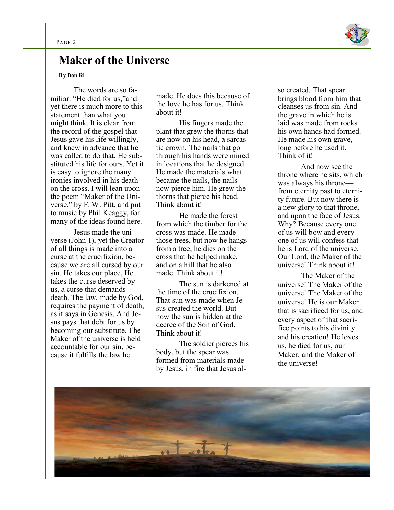

### **Maker of the Universe**

#### **By Don Rl**

The words are so familiar: "He died for us,"and yet there is much more to this statement than what you might think. It is clear from the record of the gospel that Jesus gave his life willingly, and knew in advance that he was called to do that. He substituted his life for ours. Yet it is easy to ignore the many ironies involved in his death on the cross. I will lean upon the poem "Maker of the Universe," by F. W. Pitt, and put to music by Phil Keaggy, for many of the ideas found here.

Jesus made the universe (John 1), yet the Creator of all things is made into a curse at the crucifixion, because we are all cursed by our sin. He takes our place, He takes the curse deserved by us, a curse that demands death. The law, made by God, requires the payment of death, as it says in Genesis. And Jesus pays that debt for us by becoming our substitute. The Maker of the universe is held accountable for our sin, because it fulfills the law he

made. He does this because of the love he has for us. Think about it!

His fingers made the plant that grew the thorns that are now on his head, a sarcastic crown. The nails that go through his hands were mined in locations that he designed. He made the materials what became the nails, the nails now pierce him. He grew the thorns that pierce his head. Think about it!

He made the forest from which the timber for the cross was made. He made those trees, but now he hangs from a tree; he dies on the cross that he helped make, and on a hill that he also made. Think about it!

The sun is darkened at the time of the crucifixion. That sun was made when Jesus created the world. But now the sun is hidden at the decree of the Son of God. Think about it!

The soldier pierces his body, but the spear was formed from materials made by Jesus, in fire that Jesus also created. That spear brings blood from him that cleanses us from sin. And the grave in which he is laid was made from rocks his own hands had formed. He made his own grave, long before he used it. Think of it!

And now see the throne where he sits, which was always his throne from eternity past to eternity future. But now there is a new glory to that throne, and upon the face of Jesus. Why? Because every one of us will bow and every one of us will confess that he is Lord of the universe. Our Lord, the Maker of the universe! Think about it!

The Maker of the universe! The Maker of the universe! The Maker of the universe! He is our Maker that is sacrificed for us, and every aspect of that sacrifice points to his divinity and his creation! He loves us, he died for us, our Maker, and the Maker of the universe!

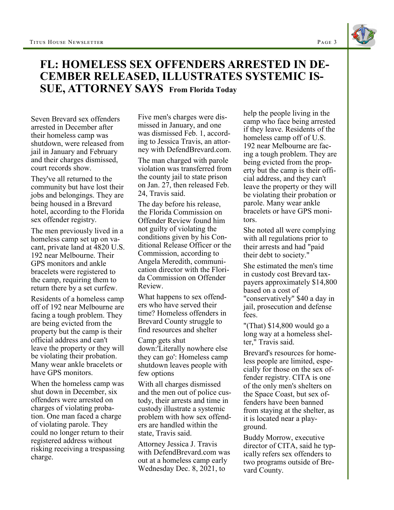## **FL: HOMELESS SEX OFFENDERS ARRESTED IN DE-CEMBER RELEASED, ILLUSTRATES SYSTEMIC IS-SUE, ATTORNEY SAYS From Florida Today**

Seven Brevard sex offenders arrested in December after their homeless camp was shutdown, were released from jail in January and February and their charges dismissed, court records show.

They've all returned to the community but have lost their jobs and belongings. They are being housed in a Brevard hotel, according to the Florida sex offender registry.

The men previously lived in a homeless camp set up on vacant, private land at 4820 U.S. 192 near Melbourne. Their GPS monitors and ankle bracelets were registered to the camp, requiring them to return there by a set curfew.

Residents of a homeless camp off of 192 near Melbourne are facing a tough problem. They are being evicted from the property but the camp is their official address and can't leave the property or they will be violating their probation. Many wear ankle bracelets or have GPS monitors.

When the homeless camp was shut down in December, six offenders were arrested on charges of violating probation. One man faced a charge of violating parole. They could no longer return to their registered address without risking receiving a trespassing charge.

Five men's charges were dismissed in January, and one was dismissed Feb. 1, according to Jessica Travis, an attorney with DefendBrevard.com.

The man charged with parole violation was transferred from the county jail to state prison on Jan. 27, then released Feb. 24, Travis said.

The day before his release, the Florida Commission on Offender Review found him not guilty of violating the conditions given by his Conditional Release Officer or the Commission, according to Angela Meredith, communication director with the Florida Commission on Offender Review.

What happens to sex offenders who have served their time? Homeless offenders in Brevard County struggle to find resources and shelter

Camp gets shut down:'Literally nowhere else they can go': Homeless camp shutdown leaves people with few options

With all charges dismissed and the men out of police custody, their arrests and time in custody illustrate a systemic problem with how sex offenders are handled within the state, Travis said.

Attorney Jessica J. Travis with DefendBrevard.com was out at a homeless camp early Wednesday Dec. 8, 2021, to

help the people living in the camp who face being arrested if they leave. Residents of the homeless camp off of U.S. 192 near Melbourne are facing a tough problem. They are being evicted from the property but the camp is their official address, and they can't leave the property or they will be violating their probation or parole. Many wear ankle bracelets or have GPS monitors.

She noted all were complying with all regulations prior to their arrests and had "paid their debt to society."

She estimated the men's time in custody cost Brevard taxpayers approximately \$14,800 based on a cost of "conservatively" \$40 a day in jail, prosecution and defense fees.

"(That) \$14,800 would go a long way at a homeless shelter," Travis said.

Brevard's resources for homeless people are limited, especially for those on the sex offender registry. CITA is one of the only men's shelters on the Space Coast, but sex offenders have been banned from staying at the shelter, as it is located near a playground.

Buddy Morrow, executive director of CITA, said he typically refers sex offenders to two programs outside of Brevard County.